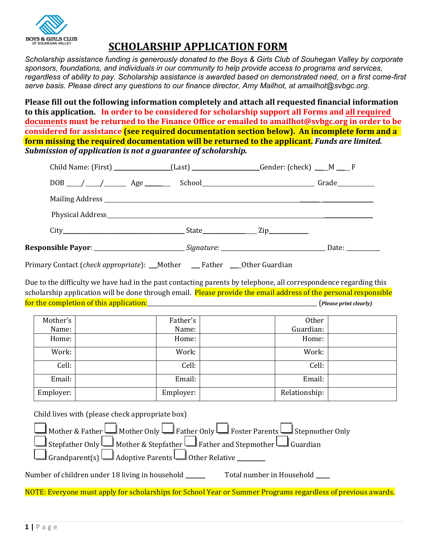

## **SCHOLARSHIP APPLICATION FORM**

*Scholarship assistance funding is generously donated to the Boys & Girls Club of Souhegan Valley by corporate sponsors, foundations, and individuals in our community to help provide access to programs and services, regardless of ability to pay. Scholarship assistance is awarded based on demonstrated need, on a first come-first serve basis. Please direct any questions to our finance director, Amy Mailhot, at amailhot@svbgc.org.*

**Please fill out the following information completely and attach all requested financial information to this application. In order to be considered for scholarship support all Forms and all required documents must be returned to the Finance Office or emailed to amailhot@svbgc.org in order to be considered for assistance (see required documentation section below). An incomplete form and a form missing the required documentation will be returned to the applicant.** *Funds are limited. Submission of application is not a guarantee of scholarship.*

|                                                                                                               | Child Name: (First) ______________(Last) _________________Gender: (check) ___M ___ F |  |  |
|---------------------------------------------------------------------------------------------------------------|--------------------------------------------------------------------------------------|--|--|
|                                                                                                               | DOB // / / / / / Age / School / / / / / Grade                                        |  |  |
|                                                                                                               |                                                                                      |  |  |
|                                                                                                               |                                                                                      |  |  |
|                                                                                                               | City Zip                                                                             |  |  |
| Responsible Payor: ____________________________Signature: ________________________________Date: _____________ |                                                                                      |  |  |

Primary Contact (*check appropriate*): \_\_\_Mother \_\_\_ Father \_\_\_ Other Guardian

Due to the difficulty we have had in the past contacting parents by telephone, all correspondence regarding this scholarship application will be done through email. Please provide the email address of the personal responsible for the completion of this application:\_\_\_\_\_\_\_\_\_\_\_\_\_\_\_\_\_\_\_\_\_\_\_\_\_\_\_\_\_\_\_\_\_\_\_\_\_\_\_\_\_\_\_\_\_\_\_\_\_\_\_\_\_\_\_\_\_\_\_\_ (*Please print clearly)*

| Mother's  | Father's  | Other         |  |
|-----------|-----------|---------------|--|
| Name:     | Name:     | Guardian:     |  |
| Home:     | Home:     | Home:         |  |
| Work:     | Work:     | Work:         |  |
| Cell:     | Cell:     | Cell:         |  |
| Email:    | Email:    | Email:        |  |
| Employer: | Employer: | Relationship: |  |

Child lives with (please check appropriate box)

| Mother & Father $\Box$ Mother Only $\Box$ Father Only $\Box$ Foster Parents $\Box$ Stepmother Only |
|----------------------------------------------------------------------------------------------------|
| Stepfather Only Mother & Stepfather $\Box$ Father and Stepmother $\Box$ Guardian                   |
| $\Box$ Grandparent(s) $\Box$ Adoptive Parents $\Box$ Other Relative $\Box$                         |

Number of children under 18 living in household \_\_\_\_\_\_\_\_\_\_\_\_\_\_\_\_\_\_\_\_\_\_\_\_\_\_\_\_\_\_\_\_

NOTE: Everyone must apply for scholarships for School Year or Summer Programs regardless of previous awards.